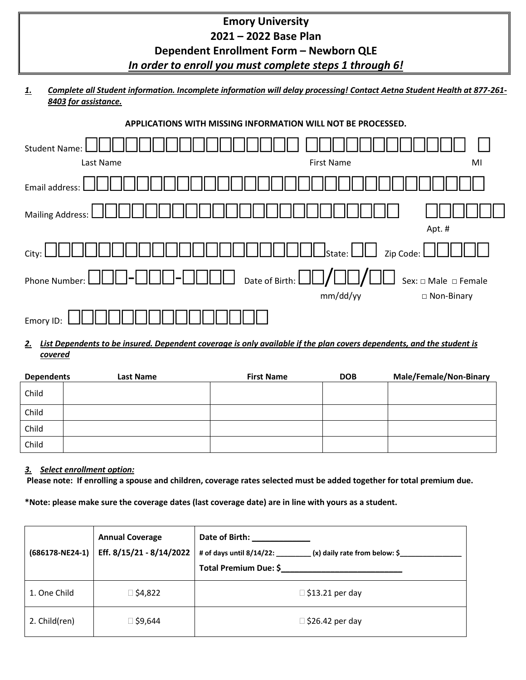| <b>Emory University</b>             |  |
|-------------------------------------|--|
| 2021 – 2022 Base Plan               |  |
| Donandont Funallmont Form Nouborn O |  |

## **Dependent Enrollment Form – Newborn QLE**  *In order to enroll you must complete steps 1 through 6!*

## *1. Complete all Student information. Incomplete information will delay processing! Contact Aetna Student Health at 877-261- 8403 for assistance.*

|  |  |  | APPLICATIONS WITH MISSING INFORMATION WILL NOT BE PROCESSED. |  |  |
|--|--|--|--------------------------------------------------------------|--|--|
|--|--|--|--------------------------------------------------------------|--|--|

| <b>Student Name:</b> |                                                                |                                |
|----------------------|----------------------------------------------------------------|--------------------------------|
| Last Name            | <b>First Name</b>                                              | MI                             |
| Email address:       |                                                                |                                |
| Mailing Address:     |                                                                | Apt. #                         |
| City:                | $\coprod$ State: $\bigsqcup \bigsqcup\,$ Zip Code: $\bigsqcup$ |                                |
| Phone Number:        | Date of Birth: $\Box$                                          | Sex: $\Box$ Male $\Box$ Female |
|                      | mm/dd/yy                                                       | □ Non-Binary                   |
| Emory ID             |                                                                |                                |

## *2. List Dependents to be insured. Dependent coverage is only available if the plan covers dependents, and the student is covered*

| <b>Dependents</b> | Last Name | <b>First Name</b> | <b>DOB</b> | <b>Male/Female/Non-Binary</b> |
|-------------------|-----------|-------------------|------------|-------------------------------|
| Child             |           |                   |            |                               |
| Child             |           |                   |            |                               |
| Child             |           |                   |            |                               |
| Child             |           |                   |            |                               |

## *3. Select enrollment option:*

**Please note: If enrolling a spouse and children, coverage rates selected must be added together for total premium due.** 

**\*Note: please make sure the coverage dates (last coverage date) are in line with yours as a student.**

| $(686178 - NE24-1)$ | <b>Annual Coverage</b><br>Eff. 8/15/21 - 8/14/2022 | Date of Birth: Date of Birth:<br># of days until $8/14/22$ :<br>(x) daily rate from below: \$<br>Total Premium Due: \$ |
|---------------------|----------------------------------------------------|------------------------------------------------------------------------------------------------------------------------|
| 1. One Child        | ⊠ \$4,822                                          | $\Box$ \$13.21 per day                                                                                                 |
| 2. Child(ren)       | 446,9≸ ⊡                                           | $\Box$ \$26.42 per day                                                                                                 |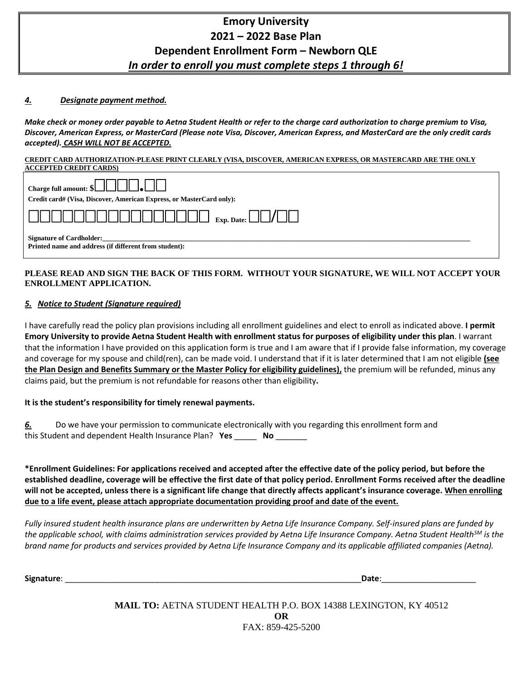# **Emory University 2021 – 2022 Base Plan Dependent Enrollment Form – Newborn QLE**  *In order to enroll you must complete steps 1 through 6!*

### *4. Designate payment method.*

*Make check or money order payable to Aetna Student Health or refer to the charge card authorization to charge premium to Visa, Discover, American Express, or MasterCard (Please note Visa, Discover, American Express, and MasterCard are the only credit cards accepted). CASH WILL NOT BE ACCEPTED.*

#### **CREDIT CARD AUTHORIZATION-PLEASE PRINT CLEARLY (VISA, DISCOVER, AMERICAN EXPRESS, OR MASTERCARD ARE THE ONLY ACCEPTED CREDIT CARDS)**

| Charge full amount: $\{\Box\Box\Box\Box\}$                                               |
|------------------------------------------------------------------------------------------|
| Credit card# (Visa, Discover, American Express, or MasterCard only):                     |
|                                                                                          |
| <b>Signature of Cardholder:</b><br>Printed name and address (if different from student): |

### **PLEASE READ AND SIGN THE BACK OF THIS FORM. WITHOUT YOUR SIGNATURE, WE WILL NOT ACCEPT YOUR ENROLLMENT APPLICATION.**

## *5. Notice to Student (Signature required)*

I have carefully read the policy plan provisions including all enrollment guidelines and elect to enroll as indicated above. **I permit Emory University to provide Aetna Student Health with enrollment status for purposes of eligibility under this plan**. I warrant that the information I have provided on this application form is true and I am aware that if I provide false information, my coverage and coverage for my spouse and child(ren), can be made void. I understand that if it is later determined that I am not eligible **(see the Plan Design and Benefits Summary or the Master Policy for eligibility guidelines),** the premium will be refunded, minus any claims paid, but the premium is not refundable for reasons other than eligibility**.**

### **It is the student's responsibility for timely renewal payments.**

*6.* Do we have your permission to communicate electronically with you regarding this enrollment form and this Student and dependent Health Insurance Plan? **Yes** \_\_\_\_\_ **No** \_\_\_\_\_\_\_

**\*Enrollment Guidelines: For applications received and accepted after the effective date of the policy period, but before the established deadline, coverage will be effective the first date of that policy period. Enrollment Forms received after the deadline will not be accepted, unless there is a significant life change that directly affects applicant's insurance coverage. When enrolling due to a life event, please attach appropriate documentation providing proof and date of the event.** 

*Fully insured student health insurance plans are underwritten by Aetna Life Insurance Company. Self-insured plans are funded by the applicable school, with claims administration services provided by Aetna Life Insurance Company. Aetna Student HealthSM is the brand name for products and services provided by Aetna Life Insurance Company and its applicable affiliated companies (Aetna).*

**Signature**: \_\_\_\_\_\_\_\_\_\_\_\_\_\_\_\_\_\_\_\_\_\_\_\_\_\_\_\_\_\_\_\_\_\_\_\_\_\_\_\_\_\_\_\_\_\_\_\_\_\_\_\_\_\_\_\_\_\_\_\_\_\_\_\_\_\_**Date**:\_\_\_\_\_\_\_\_\_\_\_\_\_\_\_\_\_\_\_\_\_

**MAIL TO:** AETNA STUDENT HEALTH P.O. BOX 14388 LEXINGTON, KY 40512 **OR** FAX: 859-425-5200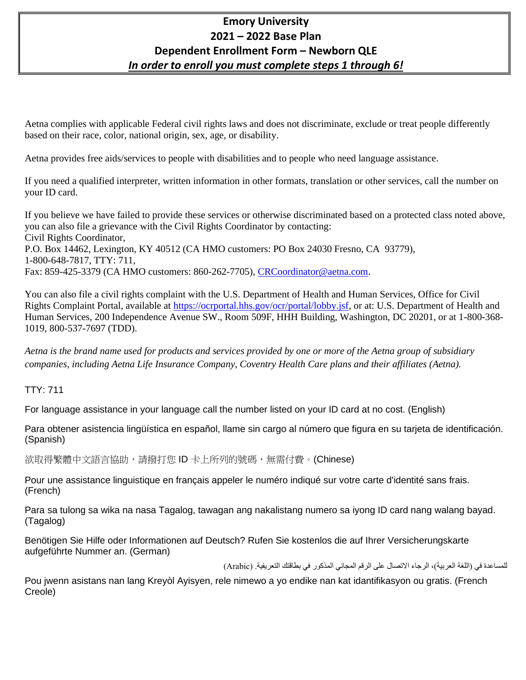# **Emory University 2021 – 2022 Base Plan Dependent Enrollment Form – Newborn QLE**  *In order to enroll you must complete steps 1 through 6!*

Aetna complies with applicable Federal civil rights laws and does not discriminate, exclude or treat people differently based on their race, color, national origin, sex, age, or disability.

Aetna provides free aids/services to people with disabilities and to people who need language assistance.

If you need a qualified interpreter, written information in other formats, translation or other services, call the number on your ID card.

If you believe we have failed to provide these services or otherwise discriminated based on a protected class noted above, you can also file a grievance with the Civil Rights Coordinator by contacting: Civil Rights Coordinator, P.O. Box 14462, Lexington, KY 40512 (CA HMO customers: PO Box 24030 Fresno, CA 93779), 1-800-648-7817, TTY: 711, Fax: 859-425-3379 (CA HMO customers: 860-262-7705), [CRCoordinator@aetna.com.](mailto:CRCoordinator@aetna.com)

You can also file a civil rights complaint with the U.S. Department of Health and Human Services, Office for Civil Rights Complaint Portal, available at [https://ocrportal.hhs.gov/ocr/portal/lobby.jsf,](https://ocrportal.hhs.gov/ocr/portal/lobby.jsf) or at: U.S. Department of Health and Human Services, 200 Independence Avenue SW., Room 509F, HHH Building, Washington, DC 20201, or at 1-800-368- 1019, 800-537-7697 (TDD).

*Aetna is the brand name used for products and services provided by one or more of the Aetna group of subsidiary companies, including Aetna Life Insurance Company, Coventry Health Care plans and their affiliates (Aetna).*

TTY: 711

For language assistance in your language call the number listed on your ID card at no cost. (English)

Para obtener asistencia lingüística en español, llame sin cargo al número que figura en su tarjeta de identificación. (Spanish)

欲取得繁體中文語言協助,請撥打您 ID 卡上所列的號碼,無需付費。(Chinese)

Pour une assistance linguistique en français appeler le numéro indiqué sur votre carte d'identité sans frais. (French)

Para sa tulong sa wika na nasa Tagalog, tawagan ang nakalistang numero sa iyong ID card nang walang bayad. (Tagalog)

Benötigen Sie Hilfe oder Informationen auf Deutsch? Rufen Sie kostenlos die auf Ihrer Versicherungskarte aufgeführte Nummer an. (German)

للمساعدة في (اللغة العربية)، الرجاء الاتصال على الرقم المجاني المذكور في بطاقتك التعريفية. (Arabic)

Pou jwenn asistans nan lang Kreyòl Ayisyen, rele nimewo a yo endike nan kat idantifikasyon ou gratis. (French Creole)